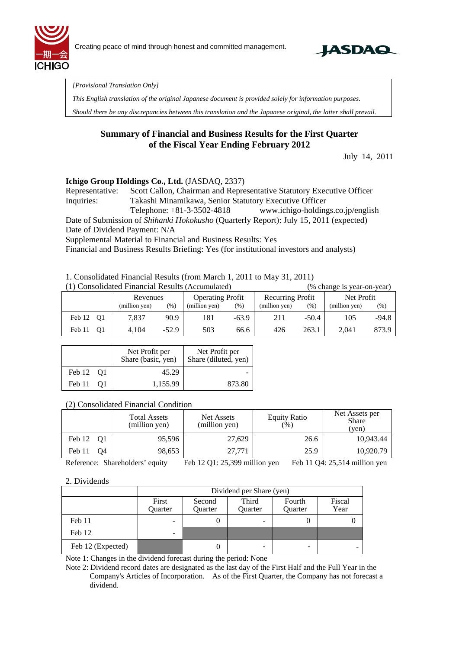



*[Provisional Translation Only]* 

*This English translation of the original Japanese document is provided solely for information purposes.* 

*Should there be any discrepancies between this translation and the Japanese original, the latter shall prevail.*

### **Summary of Financial and Business Results for the First Quarter of the Fiscal Year Ending February 2012**

July 14, 2011

#### **Ichigo Group Holdings Co., Ltd.** (JASDAQ, 2337)

Representative: Scott Callon, Chairman and Representative Statutory Executive Officer Inquiries: Takashi Minamikawa, Senior Statutory Executive Officer Telephone: +81-3-3502-4818 www.ichigo-holdings.co.jp/english

Date of Submission of *Shihanki Hokokusho* (Quarterly Report): July 15, 2011 (expected) Date of Dividend Payment: N/A

Supplemental Material to Financial and Business Results: Yes

Financial and Business Results Briefing: Yes (for institutional investors and analysts)

#### 1. Consolidated Financial Results (from March 1, 2011 to May 31, 2011)

|  | (1) Consolidated Financial Results (Accumulated) |  |  |  |  |
|--|--------------------------------------------------|--|--|--|--|
|--|--------------------------------------------------|--|--|--|--|

(% change is year-on-year) Revenues (million yen)  $(\%)$ Operating Profit (million yen)  $(\%)$ Recurring Profit (million yen) (%) Net Profit (million yen) (%) Feb 12 Q1 7,837 90.9 181 -63.9 211 -50.4 105 -94.8 Feb 11 Q1 4,104 -52.9 503 66.6 426 263.1 2,041 873.9

|           | Net Profit per<br>Share (basic, yen) | Net Profit per<br>Share (diluted, yen) |
|-----------|--------------------------------------|----------------------------------------|
| Feb 12 01 | 45.29                                |                                        |
| Feb 11 01 | 1,155.99                             | 873.80                                 |

### (2) Consolidated Financial Condition

|              | <b>Total Assets</b><br>(million yen) | Net Assets<br>(million yen) | <b>Equity Ratio</b><br>(% ) | Net Assets per<br><b>Share</b><br>(ven) |
|--------------|--------------------------------------|-----------------------------|-----------------------------|-----------------------------------------|
| Feb 12 01    | 95,596                               | 27,629                      | 26.6                        | 10.943.44                               |
| Feb 11<br>Ο4 | 98,653                               | 27,771                      | 25.9                        | 10.920.79                               |

Reference: Shareholders' equity Feb 12 Q1: 25,399 million yen Feb 11 Q4: 25,514 million yen

#### 2. Dividends

|                   | Dividend per Share (yen)                                                                         |   |                          |   |  |  |
|-------------------|--------------------------------------------------------------------------------------------------|---|--------------------------|---|--|--|
|                   | First<br>Third<br>Fiscal<br>Fourth<br>Second<br>Quarter<br>Year<br>Ouarter<br>Ouarter<br>Quarter |   |                          |   |  |  |
| Feb 11            | $\overline{\phantom{0}}$                                                                         | 0 | $\overline{\phantom{0}}$ |   |  |  |
| Feb 12            | -                                                                                                |   |                          |   |  |  |
| Feb 12 (Expected) |                                                                                                  | U | -                        | - |  |  |

Note 1: Changes in the dividend forecast during the period: None

Note 2: Dividend record dates are designated as the last day of the First Half and the Full Year in the Company's Articles of Incorporation. As of the First Quarter, the Company has not forecast a dividend.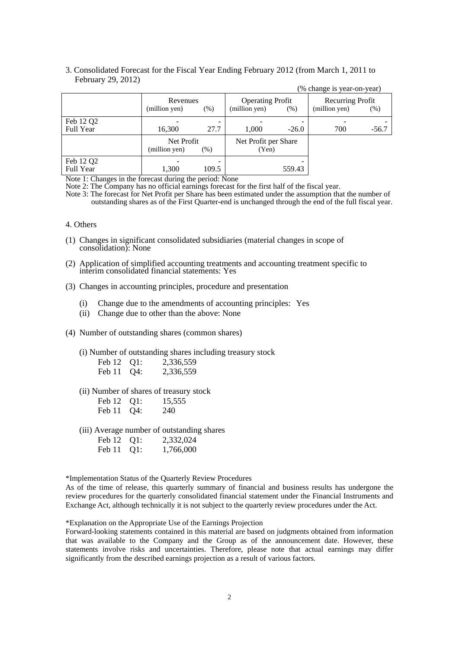|                        |                             |       |                                          |         | (% change is year-on-year)        |         |
|------------------------|-----------------------------|-------|------------------------------------------|---------|-----------------------------------|---------|
|                        | Revenues<br>(million yen)   | (% )  | <b>Operating Profit</b><br>(million yen) | (% )    | Recurring Profit<br>(million yen) | (% )    |
| Feb 12 Q2<br>Full Year | 16,300                      | 27.7  | 1.000                                    | $-26.0$ | 700                               | $-56.7$ |
|                        | Net Profit<br>(million yen) | (% )  | Net Profit per Share<br>(Yen)            |         |                                   |         |
| Feb 12 Q2<br>Full Year | 1,300                       | 109.5 |                                          | 559.43  |                                   |         |

3. Consolidated Forecast for the Fiscal Year Ending February 2012 (from March 1, 2011 to February 29, 2012)

Note 1: Changes in the forecast during the period: None

Note 2: The Company has no official earnings forecast for the first half of the fiscal year.

Note 3: The forecast for Net Profit per Share has been estimated under the assumption that the number of outstanding shares as of the First Quarter-end is unchanged through the end of the full fiscal year.

- 4. Others
- (1) Changes in significant consolidated subsidiaries (material changes in scope of consolidation): None
- (2) Application of simplified accounting treatments and accounting treatment specific to interim consolidated financial statements: Yes
- (3) Changes in accounting principles, procedure and presentation
	- (i) Change due to the amendments of accounting principles: Yes
	- (ii) Change due to other than the above: None
- (4) Number of outstanding shares (common shares)

(i) Number of outstanding shares including treasury stock

| Feb 12 Q1: | 2,336,559 |
|------------|-----------|
| Feb 11 Q4: | 2,336,559 |

(ii) Number of shares of treasury stock

| Feb 12 | Q1:    | 15,555 |
|--------|--------|--------|
| Feb 11 | $Q4$ : | 240    |

(iii) Average number of outstanding shares

| Feb 12 Q1: | 2,332,024 |
|------------|-----------|
| Feb 11 Q1: | 1,766,000 |

\*Implementation Status of the Quarterly Review Procedures

As of the time of release, this quarterly summary of financial and business results has undergone the review procedures for the quarterly consolidated financial statement under the Financial Instruments and Exchange Act, although technically it is not subject to the quarterly review procedures under the Act.

\*Explanation on the Appropriate Use of the Earnings Projection

Forward-looking statements contained in this material are based on judgments obtained from information that was available to the Company and the Group as of the announcement date. However, these statements involve risks and uncertainties. Therefore, please note that actual earnings may differ significantly from the described earnings projection as a result of various factors.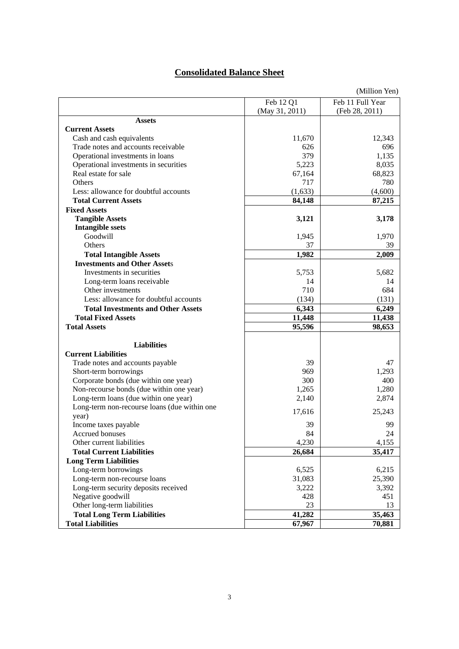## **Consolidated Balance Sheet**

|                                              |                | (Million Yen)    |
|----------------------------------------------|----------------|------------------|
|                                              | Feb 12 Q1      | Feb 11 Full Year |
|                                              | (May 31, 2011) | (Feb 28, 2011)   |
| <b>Assets</b>                                |                |                  |
| <b>Current Assets</b>                        |                |                  |
| Cash and cash equivalents                    | 11,670         | 12,343           |
| Trade notes and accounts receivable          | 626            | 696              |
| Operational investments in loans             | 379            | 1,135            |
| Operational investments in securities        | 5,223          | 8,035            |
| Real estate for sale                         | 67,164         | 68,823           |
| <b>Others</b>                                | 717            | 780              |
| Less: allowance for doubtful accounts        | (1,633)        | (4,600)          |
| <b>Total Current Assets</b>                  | 84,148         | 87,215           |
| <b>Fixed Assets</b>                          |                |                  |
| <b>Tangible Assets</b>                       | 3,121          | 3,178            |
| <b>Intangible ssets</b>                      |                |                  |
| Goodwill                                     | 1,945          | 1,970            |
| Others                                       | 37             | 39               |
| <b>Total Intangible Assets</b>               | 1,982          | 2,009            |
| <b>Investments and Other Assets</b>          |                |                  |
| Investments in securities                    | 5,753          | 5,682            |
| Long-term loans receivable                   | 14             | 14               |
| Other investments                            | 710            | 684              |
| Less: allowance for doubtful accounts        | (134)          | (131)            |
| <b>Total Investments and Other Assets</b>    | 6,343          | 6,249            |
| <b>Total Fixed Assets</b>                    | 11,448         | 11,438           |
| <b>Total Assets</b>                          | 95,596         | 98,653           |
|                                              |                |                  |
| <b>Liabilities</b>                           |                |                  |
| <b>Current Liabilities</b>                   |                |                  |
| Trade notes and accounts payable             | 39             | 47               |
| Short-term borrowings                        | 969            | 1,293            |
| Corporate bonds (due within one year)        | 300            | 400              |
| Non-recourse bonds (due within one year)     | 1,265          | 1,280            |
| Long-term loans (due within one year)        | 2,140          | 2,874            |
| Long-term non-recourse loans (due within one | 17,616         | 25,243           |
| year)                                        |                |                  |
| Income taxes payable                         | 39             | 99               |
| Accrued bonuses                              | 84             | 24               |
| Other current liabilities                    | 4,230          | 4,155            |
| <b>Total Current Liabilities</b>             | 26,684         | 35,417           |
| <b>Long Term Liabilities</b>                 |                |                  |
| Long-term borrowings                         | 6,525          | 6,215            |
| Long-term non-recourse loans                 | 31,083         | 25,390           |
| Long-term security deposits received         | 3,222          | 3,392            |
| Negative goodwill                            | 428            | 451              |
| Other long-term liabilities                  | 23             | 13               |
| <b>Total Long Term Liabilities</b>           | 41,282         | 35,463           |
| <b>Total Liabilities</b>                     | 67,967         | 70,881           |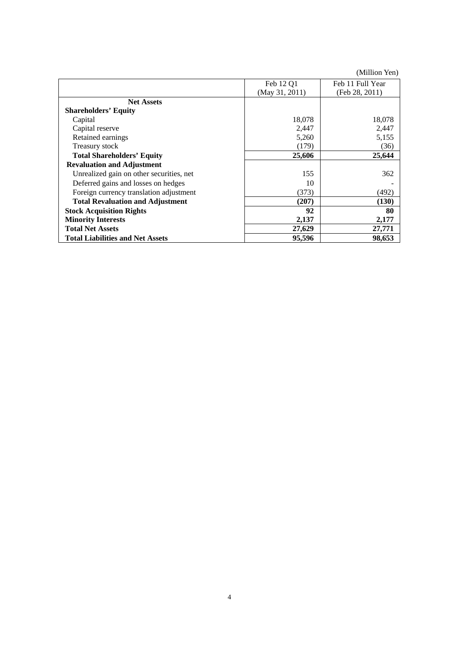|                                          |                | (Million Yen)    |
|------------------------------------------|----------------|------------------|
|                                          | Feb 12 Q1      | Feb 11 Full Year |
|                                          | (May 31, 2011) | (Feb 28, 2011)   |
| <b>Net Assets</b>                        |                |                  |
| <b>Shareholders' Equity</b>              |                |                  |
| Capital                                  | 18,078         | 18,078           |
| Capital reserve                          | 2,447          | 2,447            |
| Retained earnings                        | 5,260          | 5,155            |
| Treasury stock                           | (179)          | (36)             |
| <b>Total Shareholders' Equity</b>        | 25,606         | 25,644           |
| <b>Revaluation and Adjustment</b>        |                |                  |
| Unrealized gain on other securities, net | 155            | 362              |
| Deferred gains and losses on hedges      | 10             |                  |
| Foreign currency translation adjustment  | (373)          | (492)            |
| <b>Total Revaluation and Adjustment</b>  | (207)          | (130)            |
| <b>Stock Acquisition Rights</b>          | 92             | 80               |
| <b>Minority Interests</b>                | 2,137          | 2,177            |
| <b>Total Net Assets</b>                  | 27,629         | 27,771           |
| <b>Total Liabilities and Net Assets</b>  | 95,596         | 98,653           |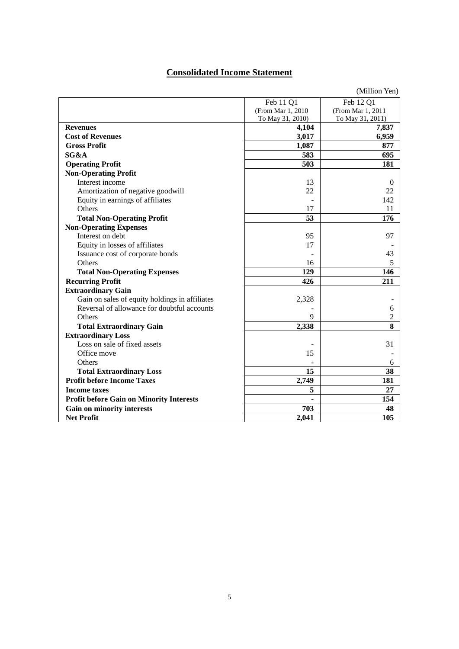# **Consolidated Income Statement**

|                                                 |                   | (Million Yen)     |
|-------------------------------------------------|-------------------|-------------------|
|                                                 | Feb 11 Q1         | Feb 12 Q1         |
|                                                 | (From Mar 1, 2010 | (From Mar 1, 2011 |
|                                                 | To May 31, 2010)  | To May 31, 2011)  |
| <b>Revenues</b>                                 | 4,104             | 7,837             |
| <b>Cost of Revenues</b>                         | 3,017             | 6,959             |
| <b>Gross Profit</b>                             | 1,087             | 877               |
| SG&A                                            | 583               | 695               |
| <b>Operating Profit</b>                         | 503               | 181               |
| <b>Non-Operating Profit</b>                     |                   |                   |
| Interest income                                 | 13                | $\Omega$          |
| Amortization of negative goodwill               | 22                | 22                |
| Equity in earnings of affiliates                |                   | 142               |
| Others                                          | 17                | 11                |
| <b>Total Non-Operating Profit</b>               | 53                | 176               |
| <b>Non-Operating Expenses</b>                   |                   |                   |
| Interest on debt                                | 95                | 97                |
| Equity in losses of affiliates                  | 17                |                   |
| Issuance cost of corporate bonds                |                   | 43                |
| Others                                          | 16                | 5                 |
| <b>Total Non-Operating Expenses</b>             | 129               | 146               |
| <b>Recurring Profit</b>                         | 426               | 211               |
| <b>Extraordinary Gain</b>                       |                   |                   |
| Gain on sales of equity holdings in affiliates  | 2,328             |                   |
| Reversal of allowance for doubtful accounts     |                   | 6                 |
| Others                                          | 9                 | 2                 |
| <b>Total Extraordinary Gain</b>                 | 2,338             | 8                 |
| <b>Extraordinary Loss</b>                       |                   |                   |
| Loss on sale of fixed assets                    |                   | 31                |
| Office move                                     | 15                |                   |
| <b>Others</b>                                   |                   | 6                 |
| <b>Total Extraordinary Loss</b>                 | 15                | 38                |
| <b>Profit before Income Taxes</b>               | 2,749             | 181               |
| <b>Income taxes</b>                             | 5                 | 27                |
| <b>Profit before Gain on Minority Interests</b> |                   | 154               |
| Gain on minority interests                      | 703               | 48                |
| <b>Net Profit</b>                               | 2,041             | 105               |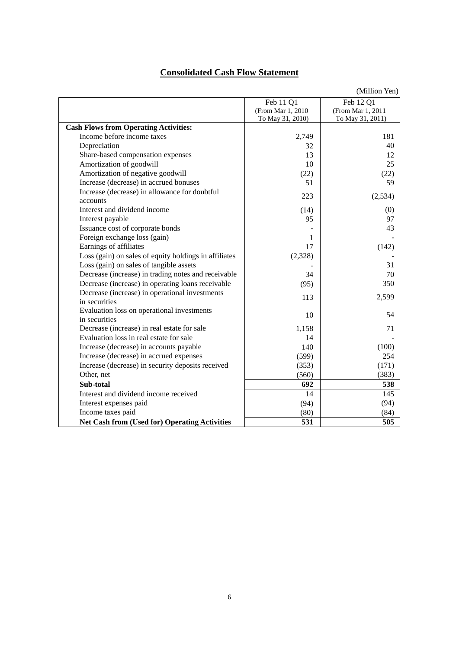# **Consolidated Cash Flow Statement**

|                                                       |                   | (Million Yen)     |
|-------------------------------------------------------|-------------------|-------------------|
|                                                       | Feb 11 Q1         | Feb 12 Q1         |
|                                                       | (From Mar 1, 2010 | (From Mar 1, 2011 |
|                                                       | To May 31, 2010)  | To May 31, 2011)  |
| <b>Cash Flows from Operating Activities:</b>          |                   |                   |
| Income before income taxes                            | 2,749             | 181               |
| Depreciation                                          | 32                | 40                |
| Share-based compensation expenses                     | 13                | 12                |
| Amortization of goodwill                              | 10                | 25                |
| Amortization of negative goodwill                     | (22)              | (22)              |
| Increase (decrease) in accrued bonuses                | 51                | 59                |
| Increase (decrease) in allowance for doubtful         | 223               | (2,534)           |
| accounts                                              |                   |                   |
| Interest and dividend income                          | (14)              | (0)               |
| Interest payable                                      | 95                | 97                |
| Issuance cost of corporate bonds                      |                   | 43                |
| Foreign exchange loss (gain)                          | 1                 |                   |
| Earnings of affiliates                                | 17                | (142)             |
| Loss (gain) on sales of equity holdings in affiliates | (2,328)           |                   |
| Loss (gain) on sales of tangible assets               |                   | 31                |
| Decrease (increase) in trading notes and receivable   | 34                | 70                |
| Decrease (increase) in operating loans receivable     | (95)              | 350               |
| Decrease (increase) in operational investments        | 113               | 2,599             |
| in securities                                         |                   |                   |
| Evaluation loss on operational investments            | 10                | 54                |
| in securities                                         |                   |                   |
| Decrease (increase) in real estate for sale           | 1,158             | 71                |
| Evaluation loss in real estate for sale               | 14                |                   |
| Increase (decrease) in accounts payable               | 140               | (100)             |
| Increase (decrease) in accrued expenses               | (599)             | 254               |
| Increase (decrease) in security deposits received     | (353)             | (171)             |
| Other, net                                            | (560)             | (383)             |
| Sub-total                                             | 692               | 538               |
| Interest and dividend income received                 | 14                | 145               |
| Interest expenses paid                                | (94)              | (94)              |
| Income taxes paid                                     | (80)              | (84)              |
| <b>Net Cash from (Used for) Operating Activities</b>  | 531               | 505               |